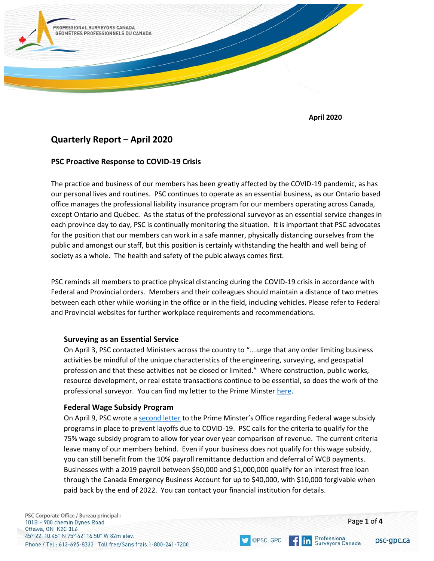

**April 2020**

# **Quarterly Report – April 2020**

### **PSC Proactive Response to COVID-19 Crisis**

The practice and business of our members has been greatly affected by the COVID-19 pandemic, as has our personal lives and routines. PSC continues to operate as an essential business, as our Ontario based office manages the professional liability insurance program for our members operating across Canada, except Ontario and Québec. As the status of the professional surveyor as an essential service changes in each province day to day, PSC is continually monitoring the situation. It is important that PSC advocates for the position that our members can work in a safe manner, physically distancing ourselves from the public and amongst our staff, but this position is certainly withstanding the health and well being of society as a whole. The health and safety of the pubic always comes first.

PSC reminds all members to practice physical distancing during the COVID-19 crisis in accordance with Federal and Provincial orders. Members and their colleagues should maintain a distance of two metres between each other while working in the office or in the field, including vehicles. Please refer to Federal and Provincial websites for further workplace requirements and recommendations.

#### **Surveying as an Essential Service**

On April 3, PSC contacted Ministers across the country to "….urge that any order limiting business activities be mindful of the unique characteristics of the engineering, surveying, and geospatial profession and that these activities not be closed or limited." Where construction, public works, resource development, or real estate transactions continue to be essential, so does the work of the professional surveyor. You can find my letter to the Prime Minste[r here.](https://www.psc-gpc.ca/wp-content/uploads/2020/03/COVID-19-Letter-Prime-Minister-Trudeau-2020-03-23.pdf)

#### **Federal Wage Subsidy Program**

On April 9, PSC wrote a [second letter](https://www.psc-gpc.ca/wp-content/uploads/2020/04/COVID-19-Letter-Prime-Minister-Trudeau-April-9-2020.pdf) to the Prime Minster's Office regarding Federal wage subsidy programs in place to prevent layoffs due to COVID-19. PSC calls for the criteria to qualify for the 75% wage subsidy program to allow for year over year comparison of revenue. The current criteria leave many of our members behind. Even if your business does not qualify for this wage subsidy, you can still benefit from the 10% payroll remittance deduction and deferral of WCB payments. Businesses with a 2019 payroll between \$50,000 and \$1,000,000 qualify for an interest free loan through the Canada Emergency Business Account for up to \$40,000, with \$10,000 forgivable when paid back by the end of 2022. You can contact your financial institution for details.

**OPSC GPC** 

**in** Professional<br>**in** Surveyors Canada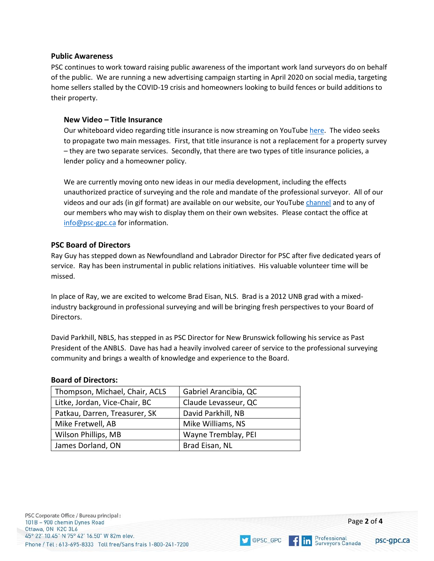#### **Public Awareness**

PSC continues to work toward raising public awareness of the important work land surveyors do on behalf of the public. We are running a new advertising campaign starting in April 2020 on social media, targeting home sellers stalled by the COVID-19 crisis and homeowners looking to build fences or build additions to their property.

#### **New Video – Title Insurance**

Our whiteboard video regarding title insurance is now streaming on YouTub[e here.](https://www.youtube.com/watch?v=lY8ex9J8W20) The video seeks to propagate two main messages. First, that title insurance is not a replacement for a property survey – they are two separate services. Secondly, that there are two types of title insurance policies, a lender policy and a homeowner policy.

We are currently moving onto new ideas in our media development, including the effects unauthorized practice of surveying and the role and mandate of the professional surveyor. All of our videos and our ads (in gif format) are available on our website, our YouTube [channel](https://www.youtube.com/channel/UCsVWT-DuZFbcruUl9udkAcw) and to any of our members who may wish to display them on their own websites. Please contact the office at [info@psc-gpc.ca](mailto:info@psc-gpc.ca) for information.

#### **PSC Board of Directors**

Ray Guy has stepped down as Newfoundland and Labrador Director for PSC after five dedicated years of service. Ray has been instrumental in public relations initiatives. His valuable volunteer time will be missed.

In place of Ray, we are excited to welcome Brad Eisan, NLS. Brad is a 2012 UNB grad with a mixedindustry background in professional surveying and will be bringing fresh perspectives to your Board of Directors.

David Parkhill, NBLS, has stepped in as PSC Director for New Brunswick following his service as Past President of the ANBLS. Dave has had a heavily involved career of service to the professional surveying community and brings a wealth of knowledge and experience to the Board.

#### **Board of Directors:**

| Thompson, Michael, Chair, ACLS | Gabriel Arancibia, QC |
|--------------------------------|-----------------------|
| Litke, Jordan, Vice-Chair, BC  | Claude Levasseur, QC  |
| Patkau, Darren, Treasurer, SK  | David Parkhill, NB    |
| Mike Fretwell, AB              | Mike Williams, NS     |
| Wilson Phillips, MB            | Wayne Tremblay, PEI   |
| James Dorland, ON              | Brad Eisan, NL        |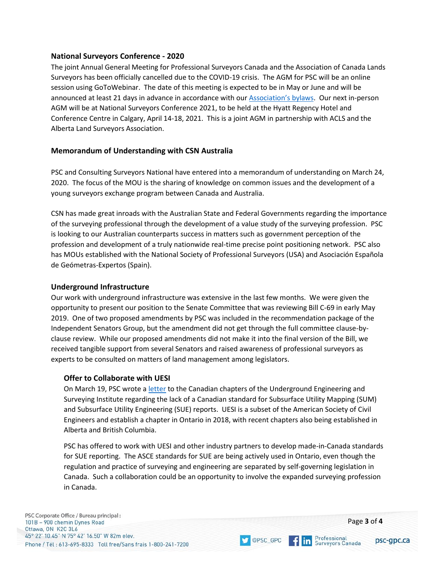## **National Surveyors Conference - 2020**

The joint Annual General Meeting for Professional Surveyors Canada and the Association of Canada Lands Surveyors has been officially cancelled due to the COVID-19 crisis. The AGM for PSC will be an online session using GoToWebinar. The date of this meeting is expected to be in May or June and will be announced at least 21 days in advance in accordance with our [Association](https://www.psc-gpc.ca/wp-content/uploads/2019/10/By-law-No.-1-Ver.-1.9.pdf)'s bylaws. Our next in-person AGM will be at National Surveyors Conference 2021, to be held at the Hyatt Regency Hotel and Conference Centre in Calgary, April 14-18, 2021. This is a joint AGM in partnership with ACLS and the Alberta Land Surveyors Association.

# **Memorandum of Understanding with CSN Australia**

PSC and Consulting Surveyors National have entered into a memorandum of understanding on March 24, 2020. The focus of the MOU is the sharing of knowledge on common issues and the development of a young surveyors exchange program between Canada and Australia.

CSN has made great inroads with the Australian State and Federal Governments regarding the importance of the surveying professional through the development of a value study of the surveying profession. PSC is looking to our Australian counterparts success in matters such as government perception of the profession and development of a truly nationwide real-time precise point positioning network. PSC also has MOUs established with the National Society of Professional Surveyors (USA) and Asociación Española de Geómetras-Expertos (Spain).

#### **Underground Infrastructure**

Our work with underground infrastructure was extensive in the last few months. We were given the opportunity to present our position to the Senate Committee that was reviewing Bill C-69 in early May 2019. One of two proposed amendments by PSC was included in the recommendation package of the Independent Senators Group, but the amendment did not get through the full committee clause-byclause review. While our proposed amendments did not make it into the final version of the Bill, we received tangible support from several Senators and raised awareness of professional surveyors as experts to be consulted on matters of land management among legislators.

# **Offer to Collaborate with UESI**

On March 19, PSC wrote a [letter](https://www.psc-gpc.ca/wp-content/uploads/2020/03/UESI-Letter-March-19-2020.pdf) to the Canadian chapters of the Underground Engineering and Surveying Institute regarding the lack of a Canadian standard for Subsurface Utility Mapping (SUM) and Subsurface Utility Engineering (SUE) reports. UESI is a subset of the American Society of Civil Engineers and establish a chapter in Ontario in 2018, with recent chapters also being established in Alberta and British Columbia.

PSC has offered to work with UESI and other industry partners to develop made-in-Canada standards for SUE reporting. The ASCE standards for SUE are being actively used in Ontario, even though the regulation and practice of surveying and engineering are separated by self-governing legislation in Canada. Such a collaboration could be an opportunity to involve the expanded surveying profession in Canada.

OPSC\_GPC

**f in Professional**<br>**in** Surveyors Canada